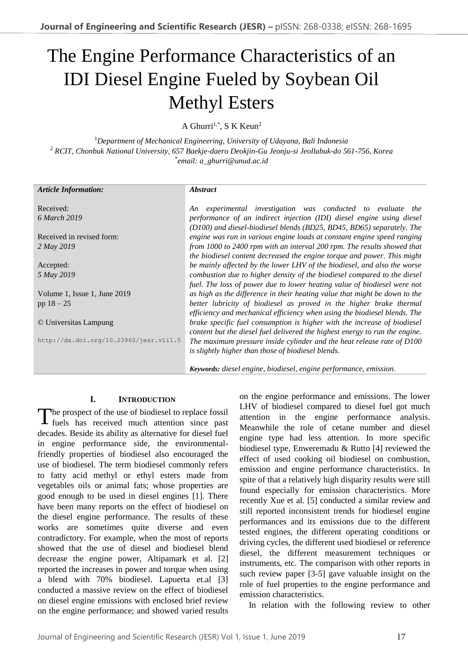# The Engine Performance Characteristics of an IDI Diesel Engine Fueled by Soybean Oil Methyl Esters

A Ghurri<sup>1,\*</sup>, S K Keun<sup>2</sup>

<sup>1</sup>*Department of Mechanical Engineering, University of Udayana, Bali Indonesia*  <sup>2</sup> *RCIT, Chonbuk National University, 657 Baekje-daero Deokjin-Gu Jeonju-si Jeollabuk-do 561-756, Korea* \* *email: a\_ghurri@unud.ac.id*

| <b>Article Information:</b>            | <i><b>Abstract</b></i>                                                      |  |  |
|----------------------------------------|-----------------------------------------------------------------------------|--|--|
|                                        |                                                                             |  |  |
| Received:                              | experimental investigation was conducted to evaluate the<br>An              |  |  |
| 6 March 2019                           | performance of an indirect injection (IDI) diesel engine using diesel       |  |  |
|                                        | (D100) and diesel-biodiesel blends (BD25, BD45, BD65) separately. The       |  |  |
| Received in revised form:              | engine was run in various engine loads at constant engine speed ranging     |  |  |
| 2 May 2019                             | from 1000 to 2400 rpm with an interval 200 rpm. The results showed that     |  |  |
|                                        | the biodiesel content decreased the engine torque and power. This might     |  |  |
| Accepted:                              | be mainly affected by the lower LHV of the biodiesel, and also the worse    |  |  |
| 5 May 2019                             | combustion due to higher density of the biodiesel compared to the diesel    |  |  |
|                                        | fuel. The loss of power due to lower heating value of biodiesel were not    |  |  |
| Volume 1, Issue 1, June 2019           | as high as the difference in their heating value that might be down to the  |  |  |
| pp $18 - 25$                           | better lubricity of biodiesel as proved in the higher brake thermal         |  |  |
|                                        | efficiency and mechanical efficiency when using the biodiesel blends. The   |  |  |
| © Universitas Lampung                  | brake specific fuel consumption is higher with the increase of biodiesel    |  |  |
|                                        | content but the diesel fuel delivered the highest energy to run the engine. |  |  |
| http://dx.doi.org/10.23960/jesr.vli1.5 | The maximum pressure inside cylinder and the heat release rate of D100      |  |  |
|                                        | is slightly higher than those of biodiesel blends.                          |  |  |
|                                        |                                                                             |  |  |
|                                        | Keywords: diesel engine, biodiesel, engine performance, emission.           |  |  |

# **I. INTRODUCTION**

The prospect of the use of biodiesel to replace fossil<br>fuels has received much attention since past fuels has received much attention since past decades. Beside its ability as alternative for diesel fuel in engine performance side, the environmentalfriendly properties of biodiesel also encouraged the use of biodiesel. The term biodiesel commonly refers to fatty acid methyl or ethyl esters made from vegetables oils or animal fats; whose properties are good enough to be used in diesel engines [1]. There have been many reports on the effect of biodiesel on the diesel engine performance. The results of these works are sometimes quite diverse and even contradictory. For example, when the most of reports showed that the use of diesel and biodiesel blend decrease the engine power, Altipamark et al. [2] reported the increases in power and torque when using a blend with 70% biodiesel. Lapuerta et.al [3] conducted a massive review on the effect of biodiesel on diesel engine emissions with enclosed brief review on the engine performance; and showed varied results

on the engine performance and emissions. The lower LHV of biodiesel compared to diesel fuel got much attention in the engine performance analysis. Meanwhile the role of cetane number and diesel engine type had less attention. In more specific biodiesel type, Enweremadu & Rutto [4] reviewed the effect of used cooking oil biodiesel on combustion, emission and engine performance characteristics. In spite of that a relatively high disparity results were still found especially for emission characteristics. More recently Xue et al. [5] conducted a similar review and still reported inconsistent trends for biodiesel engine performances and its emissions due to the different tested engines, the different operating conditions or driving cycles, the different used biodiesel or reference diesel, the different measurement techniques or instruments, etc. The comparison with other reports in such review paper [3-5] gave valuable insight on the role of fuel properties to the engine performance and emission characteristics.

In relation with the following review to other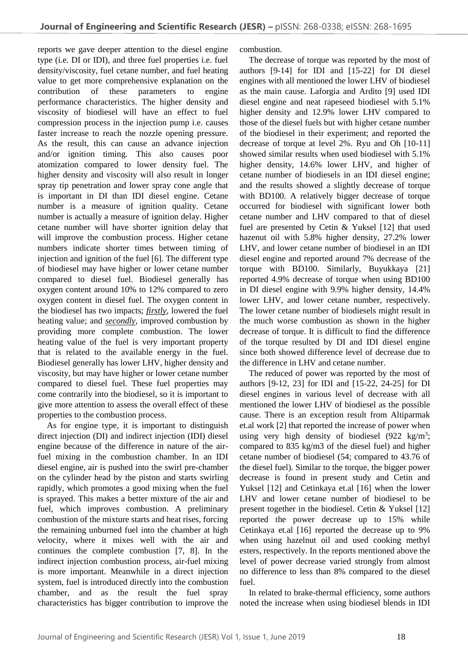reports we gave deeper attention to the diesel engine type (i.e. DI or IDI), and three fuel properties i.e. fuel density/viscosity, fuel cetane number, and fuel heating value to get more comprehensive explanation on the contribution of these parameters to engine performance characteristics. The higher density and viscosity of biodiesel will have an effect to fuel compression process in the injection pump i.e. causes faster increase to reach the nozzle opening pressure. As the result, this can cause an advance injection and/or ignition timing. This also causes poor atomization compared to lower density fuel. The higher density and viscosity will also result in longer spray tip penetration and lower spray cone angle that is important in DI than IDI diesel engine. Cetane number is a measure of ignition quality. Cetane number is actually a measure of ignition delay. Higher cetane number will have shorter ignition delay that will improve the combustion process. Higher cetane numbers indicate shorter times between timing of injection and ignition of the fuel [6]. The different type of biodiesel may have higher or lower cetane number compared to diesel fuel. Biodiesel generally has oxygen content around 10% to 12% compared to zero oxygen content in diesel fuel. The oxygen content in the biodiesel has two impacts; *firstly*, lowered the fuel heating value; and *secondly*, improved combustion by providing more complete combustion. The lower heating value of the fuel is very important property that is related to the available energy in the fuel. Biodiesel generally has lower LHV, higher density and viscosity, but may have higher or lower cetane number compared to diesel fuel. These fuel properties may come contrarily into the biodiesel, so it is important to give more attention to assess the overall effect of these properties to the combustion process.

As for engine type, it is important to distinguish direct injection (DI) and indirect injection (IDI) diesel engine because of the difference in nature of the airfuel mixing in the combustion chamber. In an IDI diesel engine, air is pushed into the swirl pre-chamber on the cylinder head by the piston and starts swirling rapidly, which promotes a good mixing when the fuel is sprayed. This makes a better mixture of the air and fuel, which improves combustion. A preliminary combustion of the mixture starts and heat rises, forcing the remaining unburned fuel into the chamber at high velocity, where it mixes well with the air and continues the complete combustion [7, 8]. In the indirect injection combustion process, air-fuel mixing is more important. Meanwhile in a direct injection system, fuel is introduced directly into the combustion chamber, and as the result the fuel spray characteristics has bigger contribution to improve the combustion.

The decrease of torque was reported by the most of authors [9-14] for IDI and [15-22] for DI diesel engines with all mentioned the lower LHV of biodiesel as the main cause. Laforgia and Ardito [9] used IDI diesel engine and neat rapeseed biodiesel with 5.1% higher density and 12.9% lower LHV compared to those of the diesel fuels but with higher cetane number of the biodiesel in their experiment; and reported the decrease of torque at level 2%. Ryu and Oh [10-11] showed similar results when used biodiesel with 5.1% higher density, 14.6% lower LHV, and higher of cetane number of biodiesels in an IDI diesel engine; and the results showed a slightly decrease of torque with BD100. A relatively bigger decrease of torque occurred for biodiesel with significant lower both cetane number and LHV compared to that of diesel fuel are presented by Cetin & Yuksel [12] that used hazenut oil with 5.8% higher density, 27.2% lower LHV, and lower cetane number of biodiesel in an IDI diesel engine and reported around 7% decrease of the torque with BD100. Similarly, Buyukkaya [21] reported 4.9% decrease of torque when using BD100 in DI diesel engine with 9.9% higher density, 14.4% lower LHV, and lower cetane number, respectively. The lower cetane number of biodiesels might result in the much worse combustion as shown in the higher decrease of torque. It is difficult to find the difference of the torque resulted by DI and IDI diesel engine since both showed difference level of decrease due to the difference in LHV and cetane number.

The reduced of power was reported by the most of authors [9-12, 23] for IDI and [15-22, 24-25] for DI diesel engines in various level of decrease with all mentioned the lower LHV of biodiesel as the possible cause. There is an exception result from Altiparmak et.al work [2] that reported the increase of power when using very high density of biodiesel  $(922 \text{ kg/m}^3)$ ; compared to 835 kg/m3 of the diesel fuel) and higher cetane number of biodiesel (54; compared to 43.76 of the diesel fuel). Similar to the torque, the bigger power decrease is found in present study and Cetin and Yuksel [12] and Cetinkaya et.al [16] when the lower LHV and lower cetane number of biodiesel to be present together in the biodiesel. Cetin & Yuksel [12] reported the power decrease up to 15% while Cetinkaya et.al [16] reported the decrease up to 9% when using hazelnut oil and used cooking methyl esters, respectively. In the reports mentioned above the level of power decrease varied strongly from almost no difference to less than 8% compared to the diesel fuel.

In related to brake-thermal efficiency, some authors noted the increase when using biodiesel blends in IDI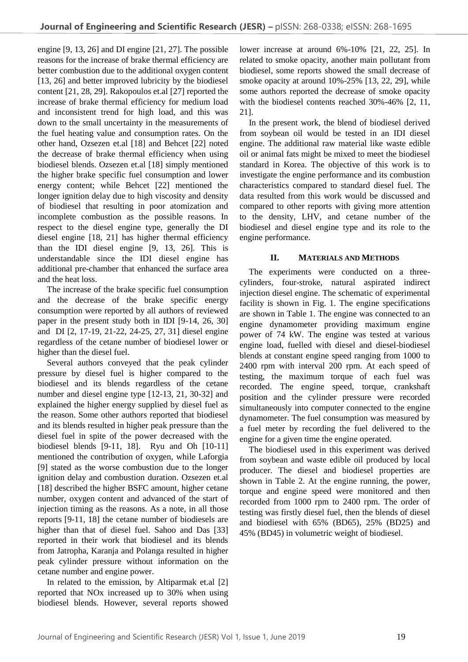engine [9, 13, 26] and DI engine [21, 27]. The possible reasons for the increase of brake thermal efficiency are better combustion due to the additional oxygen content [13, 26] and better improved lubricity by the biodiesel content [21, 28, 29]. Rakopoulos et.al [27] reported the increase of brake thermal efficiency for medium load and inconsistent trend for high load, and this was down to the small uncertainty in the measurements of the fuel heating value and consumption rates. On the other hand, Ozsezen et.al [18] and Behcet [22] noted the decrease of brake thermal efficiency when using biodiesel blends. Ozsezen et.al [18] simply mentioned the higher brake specific fuel consumption and lower energy content; while Behcet [22] mentioned the longer ignition delay due to high viscosity and density of biodiesel that resulting in poor atomization and incomplete combustion as the possible reasons. In respect to the diesel engine type, generally the DI diesel engine [18, 21] has higher thermal efficiency than the IDI diesel engine [9, 13, 26]. This is understandable since the IDI diesel engine has additional pre-chamber that enhanced the surface area and the heat loss.

The increase of the brake specific fuel consumption and the decrease of the brake specific energy consumption were reported by all authors of reviewed paper in the present study both in IDI [9-14, 26, 30] and DI [2, 17-19, 21-22, 24-25, 27, 31] diesel engine regardless of the cetane number of biodiesel lower or higher than the diesel fuel.

Several authors conveyed that the peak cylinder pressure by diesel fuel is higher compared to the biodiesel and its blends regardless of the cetane number and diesel engine type [12-13, 21, 30-32] and explained the higher energy supplied by diesel fuel as the reason. Some other authors reported that biodiesel and its blends resulted in higher peak pressure than the diesel fuel in spite of the power decreased with the biodiesel blends [9-11, 18]. Ryu and Oh [10-11] mentioned the contribution of oxygen, while Laforgia [9] stated as the worse combustion due to the longer ignition delay and combustion duration. Ozsezen et.al [18] described the higher BSFC amount, higher cetane number, oxygen content and advanced of the start of injection timing as the reasons. As a note, in all those reports [9-11, 18] the cetane number of biodiesels are higher than that of diesel fuel. Sahoo and Das [33] reported in their work that biodiesel and its blends from Jatropha, Karanja and Polanga resulted in higher peak cylinder pressure without information on the cetane number and engine power.

In related to the emission, by Altiparmak et.al [2] reported that NOx increased up to 30% when using biodiesel blends. However, several reports showed lower increase at around 6%-10% [21, 22, 25]. In related to smoke opacity, another main pollutant from biodiesel, some reports showed the small decrease of smoke opacity at around 10%-25% [13, 22, 29], while some authors reported the decrease of smoke opacity with the biodiesel contents reached 30%-46% [2, 11, 21].

In the present work, the blend of biodiesel derived from soybean oil would be tested in an IDI diesel engine. The additional raw material like waste edible oil or animal fats might be mixed to meet the biodiesel standard in Korea. The objective of this work is to investigate the engine performance and its combustion characteristics compared to standard diesel fuel. The data resulted from this work would be discussed and compared to other reports with giving more attention to the density, LHV, and cetane number of the biodiesel and diesel engine type and its role to the engine performance.

## **II. MATERIALS AND METHODS**

The experiments were conducted on a threecylinders, four-stroke, natural aspirated indirect injection diesel engine. The schematic of experimental facility is shown in Fig. 1. The engine specifications are shown in Table 1. The engine was connected to an engine dynamometer providing maximum engine power of 74 kW. The engine was tested at various engine load, fuelled with diesel and diesel-biodiesel blends at constant engine speed ranging from 1000 to 2400 rpm with interval 200 rpm. At each speed of testing, the maximum torque of each fuel was recorded. The engine speed, torque, crankshaft position and the cylinder pressure were recorded simultaneously into computer connected to the engine dynamometer. The fuel consumption was measured by a fuel meter by recording the fuel delivered to the engine for a given time the engine operated.

The biodiesel used in this experiment was derived from soybean and waste edible oil produced by local producer. The diesel and biodiesel properties are shown in Table 2. At the engine running, the power, torque and engine speed were monitored and then recorded from 1000 rpm to 2400 rpm. The order of testing was firstly diesel fuel, then the blends of diesel and biodiesel with 65% (BD65), 25% (BD25) and 45% (BD45) in volumetric weight of biodiesel.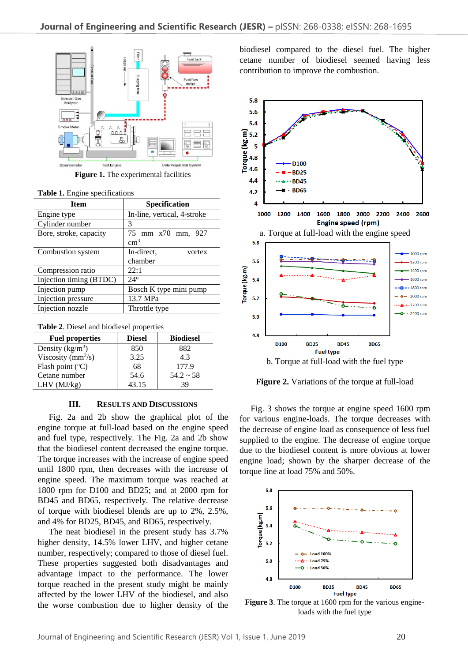

**Figure 1.** The experimental facilities

|  |  | Table 1. Engine specifications |
|--|--|--------------------------------|
|--|--|--------------------------------|

| <b>Item</b>             | <b>Specification</b>        |  |
|-------------------------|-----------------------------|--|
| Engine type             | In-line, vertical, 4-stroke |  |
| Cylinder number         | 3                           |  |
| Bore, stroke, capacity  | 75 mm x70 mm,<br>927        |  |
|                         | $\rm cm^3$                  |  |
| Combustion system       | In-direct.<br>vortex        |  |
|                         | chamber                     |  |
| Compression ratio       | 22:1                        |  |
| Injection timing (BTDC) | $24^{\circ}$                |  |
| Injection pump          | Bosch K type mini pump      |  |
| Injection pressure      | 13.7 MPa                    |  |
| Injection nozzle        | Throttle type               |  |

**Table 2**. Diesel and biodiesel properties

| <b>Fuel properties</b>    | <b>Diesel</b> | <b>Biodiesel</b> |
|---------------------------|---------------|------------------|
| Density $(kg/m^3)$        | 850           | 882              |
| Viscosity ( $mm^2/s$ )    | 3.25          | 4.3              |
| Flash point $(^{\circ}C)$ | 68            | 177.9            |
| Cetane number             | 54.6          | $54.2 \sim 58$   |
| LHV (MJ/kg)               | 43.15         | 39               |

#### **III. RESULTS AND DISCUSSIONS**

Fig. 2a and 2b show the graphical plot of the engine torque at full-load based on the engine speed and fuel type, respectively. The Fig. 2a and 2b show that the biodiesel content decreased the engine torque. The torque increases with the increase of engine speed until 1800 rpm, then decreases with the increase of engine speed. The maximum torque was reached at 1800 rpm for D100 and BD25; and at 2000 rpm for BD45 and BD65, respectively. The relative decrease of torque with biodiesel blends are up to 2%, 2.5%, and 4% for BD25, BD45, and BD65, respectively.

The neat biodiesel in the present study has 3.7% higher density, 14.5% lower LHV, and higher cetane number, respectively; compared to those of diesel fuel. These properties suggested both disadvantages and advantage impact to the performance. The lower torque reached in the present study might be mainly affected by the lower LHV of the biodiesel, and also the worse combustion due to higher density of the biodiesel compared to the diesel fuel. The higher cetane number of biodiesel seemed having less contribution to improve the combustion.



**Figure 2.** Variations of the torque at full-load

Fig. 3 shows the torque at engine speed 1600 rpm for various engine-loads. The torque decreases with the decrease of engine load as consequence of less fuel supplied to the engine. The decrease of engine torque due to the biodiesel content is more obvious at lower engine load; shown by the sharper decrease of the torque line at load 75% and 50%.



**Figure 3**. The torque at 1600 rpm for the various engineloads with the fuel type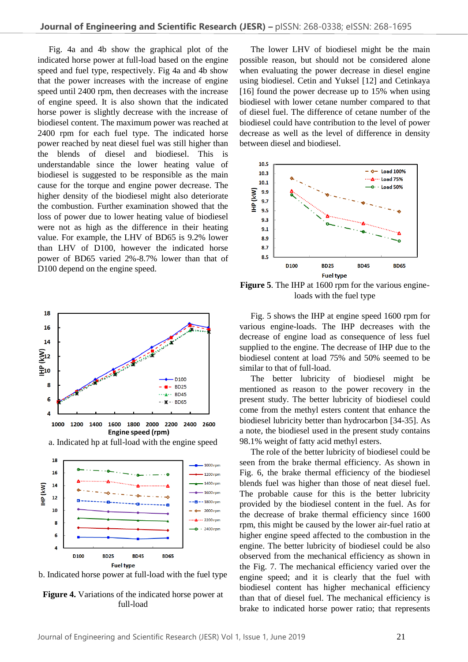Fig. 4a and 4b show the graphical plot of the indicated horse power at full-load based on the engine speed and fuel type, respectively. Fig 4a and 4b show that the power increases with the increase of engine speed until 2400 rpm, then decreases with the increase of engine speed. It is also shown that the indicated horse power is slightly decrease with the increase of biodiesel content. The maximum power was reached at 2400 rpm for each fuel type. The indicated horse power reached by neat diesel fuel was still higher than the blends of diesel and biodiesel. This is understandable since the lower heating value of biodiesel is suggested to be responsible as the main cause for the torque and engine power decrease. The higher density of the biodiesel might also deteriorate the combustion. Further examination showed that the loss of power due to lower heating value of biodiesel were not as high as the difference in their heating value. For example, the LHV of BD65 is 9.2% lower than LHV of D100, however the indicated horse power of BD65 varied 2%-8.7% lower than that of D<sub>100</sub> depend on the engine speed.





**Figure 4.** Variations of the indicated horse power at full-load

The lower LHV of biodiesel might be the main possible reason, but should not be considered alone when evaluating the power decrease in diesel engine using biodiesel. Cetin and Yuksel [12] and Cetinkaya [16] found the power decrease up to 15% when using biodiesel with lower cetane number compared to that of diesel fuel. The difference of cetane number of the biodiesel could have contribution to the level of power decrease as well as the level of difference in density between diesel and biodiesel.



**Figure 5**. The IHP at 1600 rpm for the various engineloads with the fuel type

Fig. 5 shows the IHP at engine speed 1600 rpm for various engine-loads. The IHP decreases with the decrease of engine load as consequence of less fuel supplied to the engine. The decrease of IHP due to the biodiesel content at load 75% and 50% seemed to be similar to that of full-load.

The better lubricity of biodiesel might be mentioned as reason to the power recovery in the present study. The better lubricity of biodiesel could come from the methyl esters content that enhance the biodiesel lubricity better than hydrocarbon [34-35]. As a note, the biodiesel used in the present study contains 98.1% weight of fatty acid methyl esters.

The role of the better lubricity of biodiesel could be seen from the brake thermal efficiency. As shown in Fig. 6, the brake thermal efficiency of the biodiesel blends fuel was higher than those of neat diesel fuel. The probable cause for this is the better lubricity provided by the biodiesel content in the fuel. As for the decrease of brake thermal efficiency since 1600 rpm, this might be caused by the lower air-fuel ratio at higher engine speed affected to the combustion in the engine. The better lubricity of biodiesel could be also observed from the mechanical efficiency as shown in the Fig. 7. The mechanical efficiency varied over the engine speed; and it is clearly that the fuel with biodiesel content has higher mechanical efficiency than that of diesel fuel. The mechanical efficiency is brake to indicated horse power ratio; that represents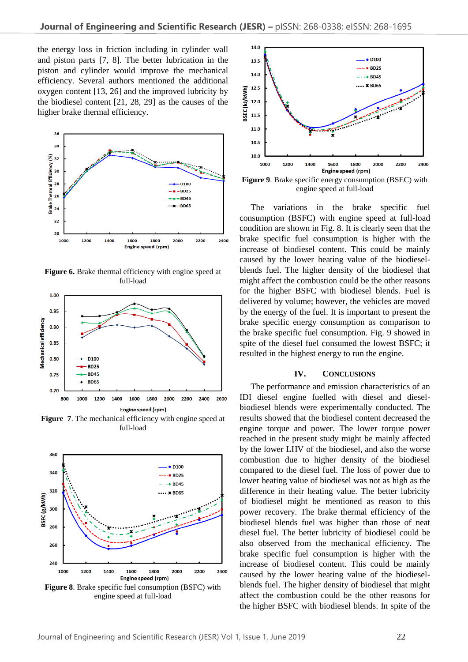the energy loss in friction including in cylinder wall and piston parts [7, 8]. The better lubrication in the piston and cylinder would improve the mechanical efficiency. Several authors mentioned the additional oxygen content [13, 26] and the improved lubricity by the biodiesel content [21, 28, 29] as the causes of the higher brake thermal efficiency.



**Figure 6.** Brake thermal efficiency with engine speed at full-load



**Figure 7**. The mechanical efficiency with engine speed at full-load



engine speed at full-load



engine speed at full-load

The variations in the brake specific fuel consumption (BSFC) with engine speed at full-load condition are shown in Fig. 8. It is clearly seen that the brake specific fuel consumption is higher with the increase of biodiesel content. This could be mainly caused by the lower heating value of the biodieselblends fuel. The higher density of the biodiesel that might affect the combustion could be the other reasons for the higher BSFC with biodiesel blends. Fuel is delivered by volume; however, the vehicles are moved by the energy of the fuel. It is important to present the brake specific energy consumption as comparison to the brake specific fuel consumption. Fig. 9 showed in spite of the diesel fuel consumed the lowest BSFC; it resulted in the highest energy to run the engine.

### **IV. CONCLUSIONS**

The performance and emission characteristics of an IDI diesel engine fuelled with diesel and dieselbiodiesel blends were experimentally conducted. The results showed that the biodiesel content decreased the engine torque and power. The lower torque power reached in the present study might be mainly affected by the lower LHV of the biodiesel, and also the worse combustion due to higher density of the biodiesel compared to the diesel fuel. The loss of power due to lower heating value of biodiesel was not as high as the difference in their heating value. The better lubricity of biodiesel might be mentioned as reason to this power recovery. The brake thermal efficiency of the biodiesel blends fuel was higher than those of neat diesel fuel. The better lubricity of biodiesel could be also observed from the mechanical efficiency. The brake specific fuel consumption is higher with the increase of biodiesel content. This could be mainly caused by the lower heating value of the biodieselblends fuel. The higher density of biodiesel that might affect the combustion could be the other reasons for the higher BSFC with biodiesel blends. In spite of the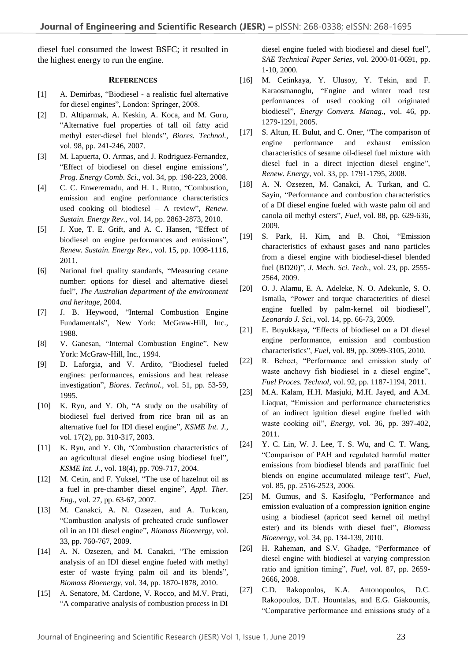diesel fuel consumed the lowest BSFC; it resulted in the highest energy to run the engine.

#### **REFERENCES**

- [1] A. Demirbas, "Biodiesel a realistic fuel alternative for diesel engines", London: Springer, 2008.
- [2] D. Altiparmak, A. Keskin, A. Koca, and M. Guru, "Alternative fuel properties of tall oil fatty acid methyl ester-diesel fuel blends", *Biores. Technol.*, vol. 98, pp. 241-246, 2007.
- [3] M. Lapuerta, O. Armas, and J. Rodriguez-Fernandez, "Effect of biodiesel on diesel engine emissions", *Prog. Energy Comb. Sci*., vol. 34, pp. 198-223, 2008.
- [4] C. C. Enweremadu, and H. L. Rutto, "Combustion, emission and engine performance characteristics used cooking oil biodiesel – A review", *Renew. Sustain. Energy Rev.*, vol. 14, pp. 2863-2873, 2010.
- [5] J. Xue, T. E. Grift, and A. C. Hansen, "Effect of biodiesel on engine performances and emissions", *Renew. Sustain. Energy Rev*., vol. 15, pp. 1098-1116, 2011.
- [6] National fuel quality standards, "Measuring cetane number: options for diesel and alternative diesel fuel", *The Australian department of the environment and heritage*, 2004.
- [7] J. B. Heywood, "Internal Combustion Engine Fundamentals", New York: McGraw-Hill, Inc., 1988.
- [8] V. Ganesan, "Internal Combustion Engine", New York: McGraw-Hill, Inc., 1994.
- [9] D. Laforgia, and V. Ardito, "Biodiesel fueled engines: performances, emissions and heat release investigation", *Biores. Technol.*, vol. 51, pp. 53-59, 1995.
- [10] K. Ryu, and Y. Oh, "A study on the usability of biodiesel fuel derived from rice bran oil as an alternative fuel for IDI diesel engine", *KSME Int. J.*, vol. 17(2), pp. 310-317, 2003.
- [11] K. Ryu, and Y. Oh, "Combustion characteristics of an agricultural diesel engine using biodiesel fuel", *KSME Int. J.*, vol. 18(4), pp. 709-717, 2004.
- [12] M. Cetin, and F. Yuksel, "The use of hazelnut oil as a fuel in pre-chamber diesel engine", *Appl. Ther. Eng.,* vol. 27, pp. 63-67, 2007.
- [13] M. Canakci, A. N. Ozsezen, and A. Turkcan, "Combustion analysis of preheated crude sunflower oil in an IDI diesel engine", *Biomass Bioenergy*, vol. 33, pp. 760-767, 2009.
- [14] A. N. Ozsezen, and M. Canakci, "The emission analysis of an IDI diesel engine fueled with methyl ester of waste frying palm oil and its blends", *Biomass Bioenergy*, vol. 34, pp. 1870-1878, 2010.
- [15] A. Senatore, M. Cardone, V. Rocco, and M.V. Prati, "A comparative analysis of combustion process in DI

diesel engine fueled with biodiesel and diesel fuel", *SAE Technical Paper Series*, vol. 2000-01-0691, pp. 1-10, 2000.

- [16] M. Cetinkaya, Y. Ulusoy, Y. Tekin, and F. Karaosmanoglu, "Engine and winter road test performances of used cooking oil originated biodiesel", *Energy Convers. Manag.*, vol. 46, pp. 1279-1291, 2005.
- [17] S. Altun, H. Bulut, and C. Oner, "The comparison of engine performance and exhaust emission characteristics of sesame oil-diesel fuel mixture with diesel fuel in a direct injection diesel engine", *Renew. Energy*, vol. 33, pp. 1791-1795, 2008.
- [18] A. N. Ozsezen, M. Canakci, A. Turkan, and C. Sayin, "Performance and combustion characteristics of a DI diesel engine fueled with waste palm oil and canola oil methyl esters", *Fuel*, vol. 88, pp. 629-636, 2009.
- [19] S. Park, H. Kim, and B. Choi, "Emission characteristics of exhaust gases and nano particles from a diesel engine with biodiesel-diesel blended fuel (BD20)", *J. Mech. Sci. Tech*., vol. 23, pp. 2555- 2564, 2009.
- [20] O. J. Alamu, E. A. Adeleke, N. O. Adekunle, S. O. Ismaila, "Power and torque characteritics of diesel engine fuelled by palm-kernel oil biodiesel", *Leonardo J. Sci.*, vol. 14, pp. 66-73, 2009.
- [21] E. Buyukkaya, "Effects of biodiesel on a DI diesel engine performance, emission and combustion characteristics", *Fuel*, vol. 89, pp. 3099-3105, 2010.
- [22] R. Behcet, "Performance and emission study of waste anchovy fish biodiesel in a diesel engine", *Fuel Proces. Technol*, vol. 92, pp. 1187-1194, 2011.
- [23] M.A. Kalam, H.H. Masjuki, M.H. Jayed, and A.M. Liaquat, "Emission and performance characteristics of an indirect ignition diesel engine fuelled with waste cooking oil", *Energy*, vol. 36, pp. 397-402, 2011.
- [24] Y. C. Lin, W. J. Lee, T. S. Wu, and C. T. Wang, "Comparison of PAH and regulated harmful matter emissions from biodiesel blends and paraffinic fuel blends on engine accumulated mileage test", *Fuel*, vol. 85, pp. 2516-2523, 2006.
- [25] M. Gumus, and S. Kasifoglu, "Performance and emission evaluation of a compression ignition engine using a biodiesel (apricot seed kernel oil methyl ester) and its blends with diesel fuel", *Biomass Bioenergy*, vol. 34, pp. 134-139, 2010.
- [26] H. Raheman, and S.V. Ghadge, "Performance of diesel engine with biodiesel at varying compression ratio and ignition timing", *Fuel*, vol. 87, pp. 2659- 2666, 2008.
- [27] C.D. Rakopoulos, K.A. Antonopoulos, D.C. Rakopoulos, D.T. Hountalas, and E.G. Giakoumis, "Comparative performance and emissions study of a